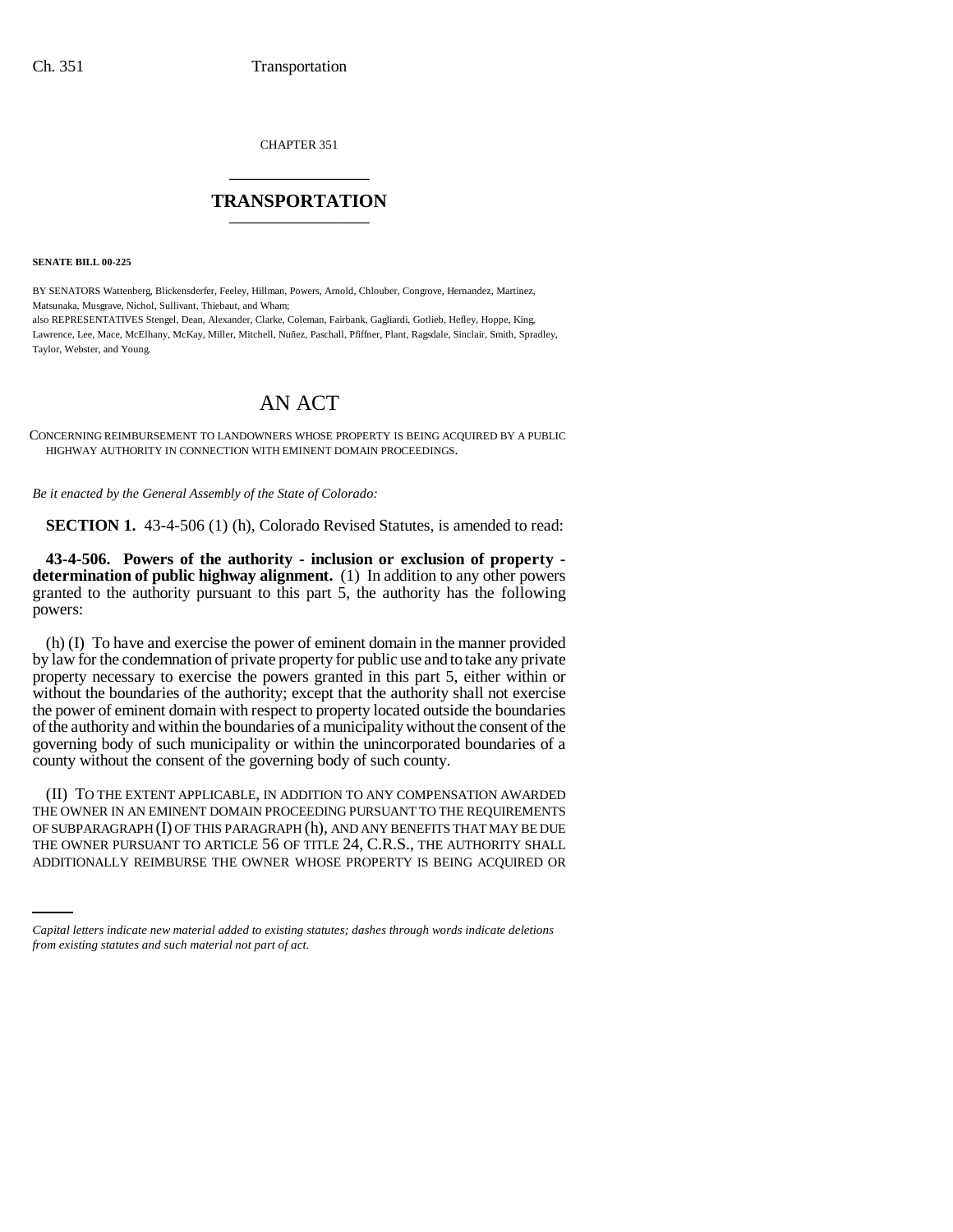CHAPTER 351 \_\_\_\_\_\_\_\_\_\_\_\_\_\_\_

## **TRANSPORTATION** \_\_\_\_\_\_\_\_\_\_\_\_\_\_\_

**SENATE BILL 00-225** 

BY SENATORS Wattenberg, Blickensderfer, Feeley, Hillman, Powers, Arnold, Chlouber, Congrove, Hernandez, Martinez, Matsunaka, Musgrave, Nichol, Sullivant, Thiebaut, and Wham; also REPRESENTATIVES Stengel, Dean, Alexander, Clarke, Coleman, Fairbank, Gagliardi, Gotlieb, Hefley, Hoppe, King,

Lawrence, Lee, Mace, McElhany, McKay, Miller, Mitchell, Nuñez, Paschall, Pfiffner, Plant, Ragsdale, Sinclair, Smith, Spradley, Taylor, Webster, and Young.

## AN ACT

CONCERNING REIMBURSEMENT TO LANDOWNERS WHOSE PROPERTY IS BEING ACQUIRED BY A PUBLIC HIGHWAY AUTHORITY IN CONNECTION WITH EMINENT DOMAIN PROCEEDINGS.

*Be it enacted by the General Assembly of the State of Colorado:*

**SECTION 1.** 43-4-506 (1) (h), Colorado Revised Statutes, is amended to read:

**43-4-506. Powers of the authority - inclusion or exclusion of property determination of public highway alignment.** (1) In addition to any other powers granted to the authority pursuant to this part 5, the authority has the following powers:

(h) (I) To have and exercise the power of eminent domain in the manner provided by law for the condemnation of private property for public use and to take any private property necessary to exercise the powers granted in this part 5, either within or without the boundaries of the authority; except that the authority shall not exercise the power of eminent domain with respect to property located outside the boundaries of the authority and within the boundaries of a municipality without the consent of the governing body of such municipality or within the unincorporated boundaries of a county without the consent of the governing body of such county.

OF SUBPARAGRAPH (I) OF THIS PARAGRAPH (h), AND ANY BENEFITS THAT MAY BE DUE (II) TO THE EXTENT APPLICABLE, IN ADDITION TO ANY COMPENSATION AWARDED THE OWNER IN AN EMINENT DOMAIN PROCEEDING PURSUANT TO THE REQUIREMENTS THE OWNER PURSUANT TO ARTICLE 56 OF TITLE 24, C.R.S., THE AUTHORITY SHALL ADDITIONALLY REIMBURSE THE OWNER WHOSE PROPERTY IS BEING ACQUIRED OR

*Capital letters indicate new material added to existing statutes; dashes through words indicate deletions from existing statutes and such material not part of act.*